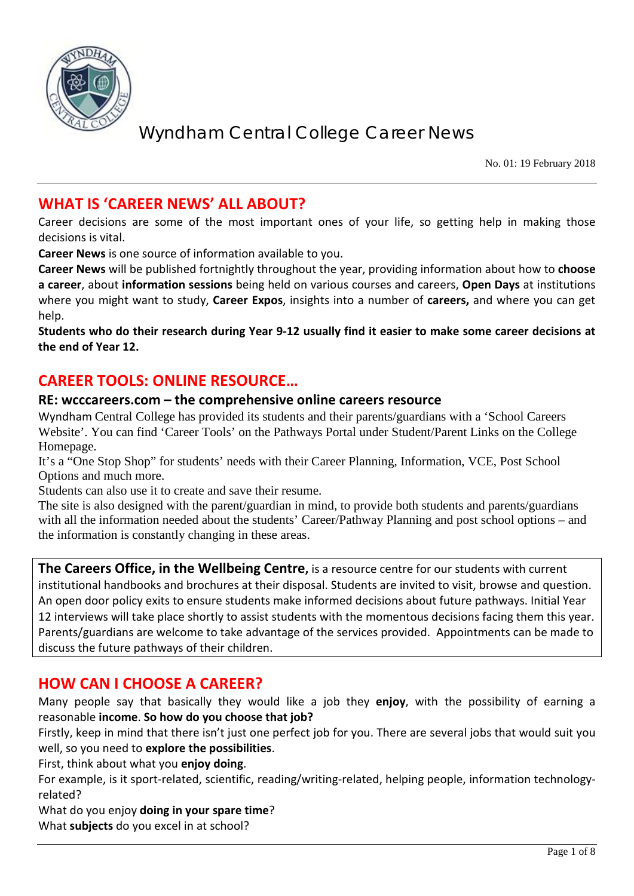

No. 01: 19 February 2018

### **WHAT IS 'CAREER NEWS' ALL ABOUT?**

Career decisions are some of the most important ones of your life, so getting help in making those decisions is vital.

**Career News** is one source of information available to you.

**Career News** will be published fortnightly throughout the year, providing information about how to **choose a career**, about **information sessions** being held on various courses and careers, **Open Days** at institutions where you might want to study, **Career Expos**, insights into a number of **careers,** and where you can get help.

**Students who do their research during Year 9-12 usually find it easier to make some career decisions at the end of Year 12.**

### **CAREER TOOLS: ONLINE RESOURCE…**

#### **RE: wcccareers.com – the comprehensive online careers resource**

Wyndham Central College has provided its students and their parents/guardians with a 'School Careers Website'. You can find 'Career Tools' on the Pathways Portal under Student/Parent Links on the College Homepage.

It's a "One Stop Shop" for students' needs with their Career Planning, Information, VCE, Post School Options and much more.

Students can also use it to create and save their resume.

The site is also designed with the parent/guardian in mind, to provide both students and parents/guardians with all the information needed about the students' Career/Pathway Planning and post school options – and the information is constantly changing in these areas.

**The Careers Office, in the Wellbeing Centre,** is a resource centre for our students with current institutional handbooks and brochures at their disposal. Students are invited to visit, browse and question. An open door policy exits to ensure students make informed decisions about future pathways. Initial Year 12 interviews will take place shortly to assist students with the momentous decisions facing them this year. Parents/guardians are welcome to take advantage of the services provided. Appointments can be made to discuss the future pathways of their children.

### **HOW CAN I CHOOSE A CAREER?**

Many people say that basically they would like a job they **enjoy**, with the possibility of earning a reasonable **income**. **So how do you choose that job?**

Firstly, keep in mind that there isn't just one perfect job for you. There are several jobs that would suit you well, so you need to **explore the possibilities**.

First, think about what you **enjoy doing**.

For example, is it sport-related, scientific, reading/writing-related, helping people, information technologyrelated?

What do you enjoy **doing in your spare time**?

What **subjects** do you excel in at school?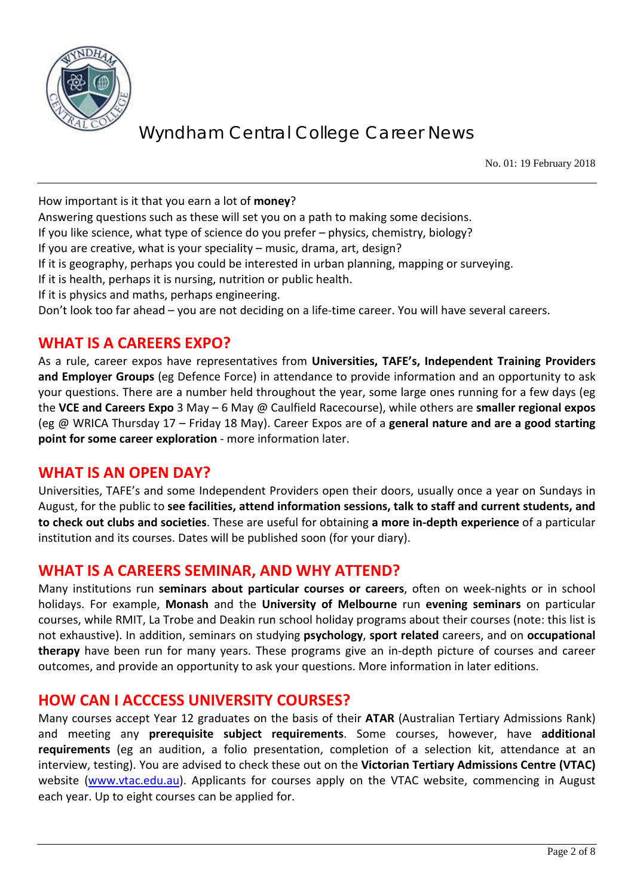

No. 01: 19 February 2018

How important is it that you earn a lot of **money**?

Answering questions such as these will set you on a path to making some decisions.

If you like science, what type of science do you prefer – physics, chemistry, biology?

If you are creative, what is your speciality – music, drama, art, design?

If it is geography, perhaps you could be interested in urban planning, mapping or surveying.

If it is health, perhaps it is nursing, nutrition or public health.

If it is physics and maths, perhaps engineering.

Don't look too far ahead – you are not deciding on a life-time career. You will have several careers.

#### **WHAT IS A CAREERS EXPO?**

As a rule, career expos have representatives from **Universities, TAFE's, Independent Training Providers and Employer Groups** (eg Defence Force) in attendance to provide information and an opportunity to ask your questions. There are a number held throughout the year, some large ones running for a few days (eg the **VCE and Careers Expo** 3 May – 6 May @ Caulfield Racecourse), while others are **smaller regional expos** (eg @ WRICA Thursday 17 – Friday 18 May). Career Expos are of a **general nature and are a good starting point for some career exploration** - more information later.

#### **WHAT IS AN OPEN DAY?**

Universities, TAFE's and some Independent Providers open their doors, usually once a year on Sundays in August, for the public to **see facilities, attend information sessions, talk to staff and current students, and to check out clubs and societies**. These are useful for obtaining **a more in-depth experience** of a particular institution and its courses. Dates will be published soon (for your diary).

### **WHAT IS A CAREERS SEMINAR, AND WHY ATTEND?**

Many institutions run **seminars about particular courses or careers**, often on week-nights or in school holidays. For example, **Monash** and the **University of Melbourne** run **evening seminars** on particular courses, while RMIT, La Trobe and Deakin run school holiday programs about their courses (note: this list is not exhaustive). In addition, seminars on studying **psychology**, **sport related** careers, and on **occupational therapy** have been run for many years. These programs give an in-depth picture of courses and career outcomes, and provide an opportunity to ask your questions. More information in later editions.

#### **HOW CAN I ACCCESS UNIVERSITY COURSES?**

Many courses accept Year 12 graduates on the basis of their **ATAR** (Australian Tertiary Admissions Rank) and meeting any **prerequisite subject requirements**. Some courses, however, have **additional requirements** (eg an audition, a folio presentation, completion of a selection kit, attendance at an interview, testing). You are advised to check these out on the **Victorian Tertiary Admissions Centre (VTAC)** website [\(www.vtac.edu.au\)](http://www.vtac.edu.au/). Applicants for courses apply on the VTAC website, commencing in August each year. Up to eight courses can be applied for.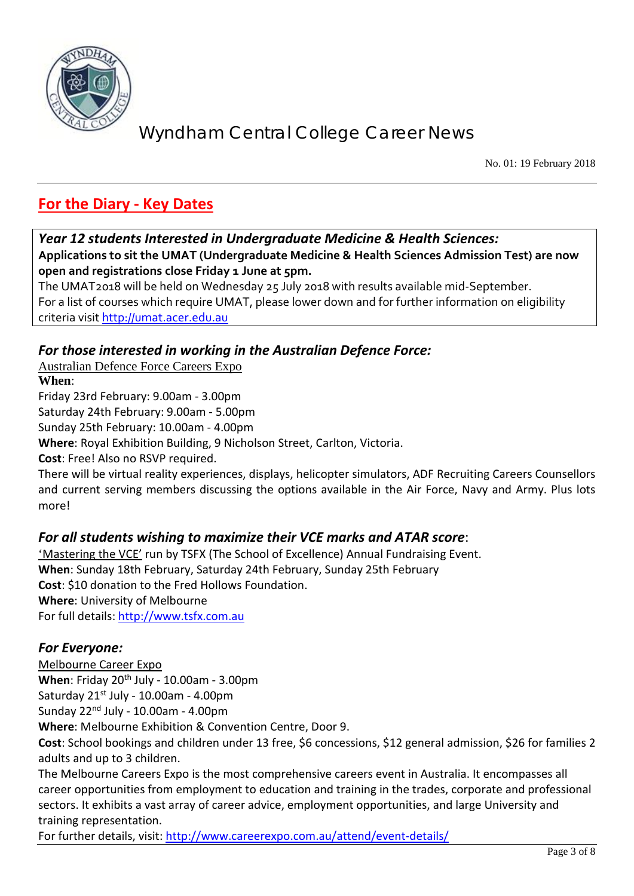

No. 01: 19 February 2018

# **For the Diary - Key Dates**

*Year 12 students Interested in Undergraduate Medicine & Health Sciences:*

**Applications to sit the UMAT (Undergraduate Medicine & Health Sciences Admission Test) are now open and registrations close Friday 1 June at 5pm.**

The UMAT2018 will be held on Wednesday 25 July 2018 with results available mid-September. For a list of courses which require UMAT, please lower down and for further information on eligibility criteria visit [http://umat.acer.edu.au](http://umat.acer.edu.au/)

#### *For those interested in working in the Australian Defence Force:*

Australian Defence Force Careers Expo **When**:

Friday 23rd February: 9.00am - 3.00pm

Saturday 24th February: 9.00am - 5.00pm

Sunday 25th February: 10.00am - 4.00pm

**Where**: Royal Exhibition Building, 9 Nicholson Street, Carlton, Victoria.

**Cost**: Free! Also no RSVP required.

There will be virtual reality experiences, displays, helicopter simulators, ADF Recruiting Careers Counsellors and current serving members discussing the options available in the Air Force, Navy and Army. Plus lots more!

#### *For all students wishing to maximize their VCE marks and ATAR score*:

'Mastering the VCE' run by TSFX (The School of Excellence) Annual Fundraising Event. **When**: Sunday 18th February, Saturday 24th February, Sunday 25th February **Cost**: \$10 donation to the Fred Hollows Foundation. **Where**: University of Melbourne For full details: [http://www.tsfx.com.au](http://www.tsfx.com.au/)

#### *For Everyone:*

Melbourne Career Expo

**When**: Friday 20<sup>th</sup> July - 10.00am - 3.00pm Saturday  $21^{st}$  July - 10.00am - 4.00pm

Sunday  $22<sup>nd</sup>$  July - 10.00am - 4.00pm

**Where**: Melbourne Exhibition & Convention Centre, Door 9.

**Cost**: School bookings and children under 13 free, \$6 concessions, \$12 general admission, \$26 for families 2 adults and up to 3 children.

The Melbourne Careers Expo is the most comprehensive careers event in Australia. It encompasses all career opportunities from employment to education and training in the trades, corporate and professional sectors. It exhibits a vast array of career advice, employment opportunities, and large University and training representation.

For further details, visit:<http://www.careerexpo.com.au/attend/event-details/>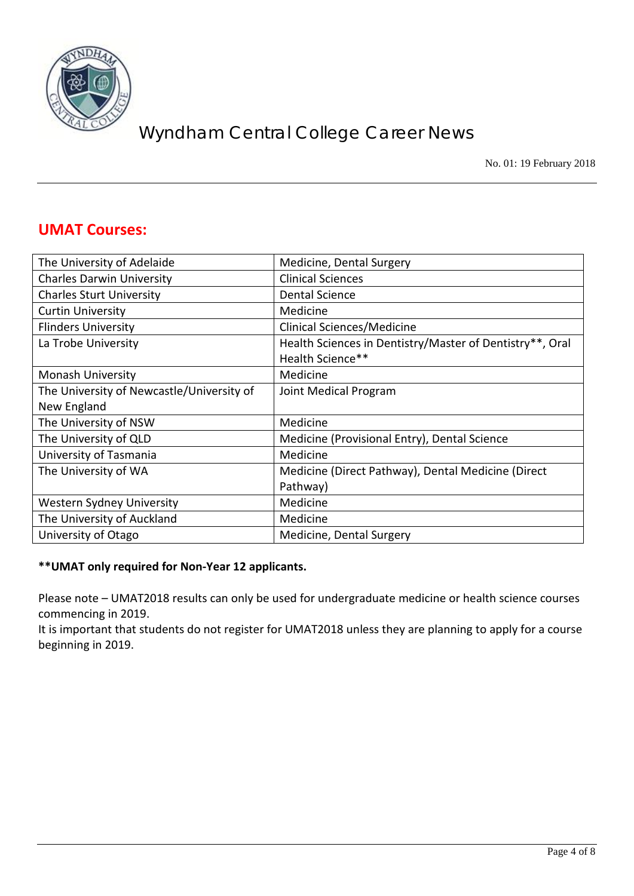

No. 01: 19 February 2018

### **UMAT Courses:**

| The University of Adelaide                | Medicine, Dental Surgery                                 |
|-------------------------------------------|----------------------------------------------------------|
| <b>Charles Darwin University</b>          | <b>Clinical Sciences</b>                                 |
| <b>Charles Sturt University</b>           | Dental Science                                           |
| <b>Curtin University</b>                  | Medicine                                                 |
| <b>Flinders University</b>                | Clinical Sciences/Medicine                               |
| La Trobe University                       | Health Sciences in Dentistry/Master of Dentistry**, Oral |
|                                           | Health Science**                                         |
| <b>Monash University</b>                  | Medicine                                                 |
| The University of Newcastle/University of | Joint Medical Program                                    |
| New England                               |                                                          |
| The University of NSW                     | Medicine                                                 |
| The University of QLD                     | Medicine (Provisional Entry), Dental Science             |
| University of Tasmania                    | Medicine                                                 |
| The University of WA                      | Medicine (Direct Pathway), Dental Medicine (Direct       |
|                                           | Pathway)                                                 |
| Western Sydney University                 | Medicine                                                 |
| The University of Auckland                | Medicine                                                 |
| University of Otago                       | Medicine, Dental Surgery                                 |

#### **\*\*UMAT only required for Non-Year 12 applicants.**

Please note – UMAT2018 results can only be used for undergraduate medicine or health science courses commencing in 2019.

It is important that students do not register for UMAT2018 unless they are planning to apply for a course beginning in 2019.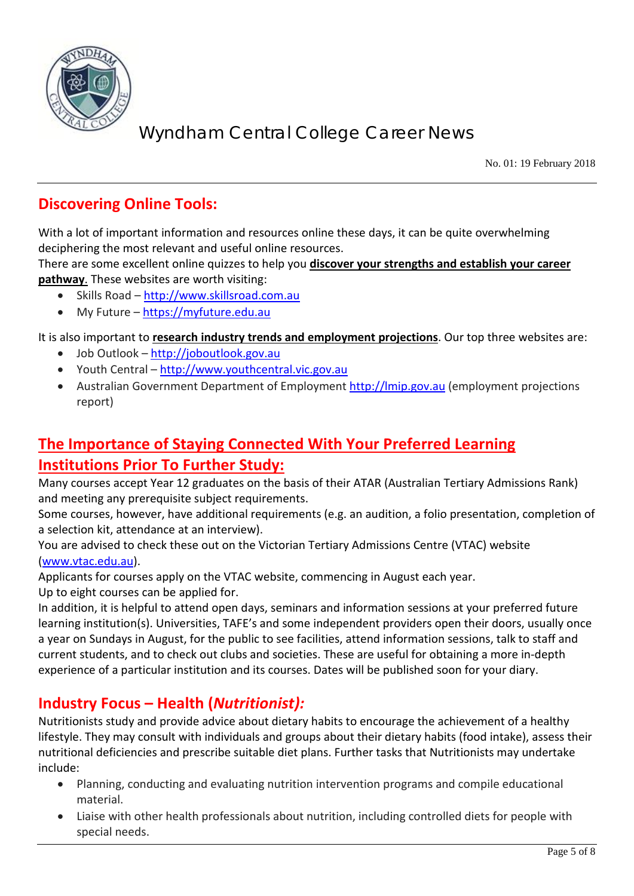

No. 01: 19 February 2018

### **Discovering Online Tools:**

With a lot of important information and resources online these days, it can be quite overwhelming deciphering the most relevant and useful online resources.

There are some excellent online quizzes to help you **discover your strengths and establish your career pathway**. These websites are worth visiting:

- Skills Road [http://www.skillsroad.com.au](http://www.skillsroad.com.au/)
- My Future [https://myfuture.edu.au](https://myfuture.edu.au/)

It is also important to **research industry trends and employment projections**. Our top three websites are:

- Job Outlook [http://joboutlook.gov.au](http://joboutlook.gov.au/)
- Youth Central [http://www.youthcentral.vic.gov.au](http://www.youthcentral.vic.gov.au/)
- Australian Government Department of Employment [http://lmip.gov.au](http://lmip.gov.au/) (employment projections report)

# **The Importance of Staying Connected With Your Preferred Learning Institutions Prior To Further Study:**

Many courses accept Year 12 graduates on the basis of their ATAR (Australian Tertiary Admissions Rank) and meeting any prerequisite subject requirements.

Some courses, however, have additional requirements (e.g. an audition, a folio presentation, completion of a selection kit, attendance at an interview).

You are advised to check these out on the Victorian Tertiary Admissions Centre (VTAC) website [\(www.vtac.edu.au\)](http://www.vtac.edu.au/).

Applicants for courses apply on the VTAC website, commencing in August each year. Up to eight courses can be applied for.

In addition, it is helpful to attend open days, seminars and information sessions at your preferred future learning institution(s). Universities, TAFE's and some independent providers open their doors, usually once a year on Sundays in August, for the public to see facilities, attend information sessions, talk to staff and current students, and to check out clubs and societies. These are useful for obtaining a more in-depth experience of a particular institution and its courses. Dates will be published soon for your diary.

### **Industry Focus – Health (***Nutritionist):*

Nutritionists study and provide advice about dietary habits to encourage the achievement of a healthy lifestyle. They may consult with individuals and groups about their dietary habits (food intake), assess their nutritional deficiencies and prescribe suitable diet plans. Further tasks that Nutritionists may undertake include:

- Planning, conducting and evaluating nutrition intervention programs and compile educational material.
- Liaise with other health professionals about nutrition, including controlled diets for people with special needs.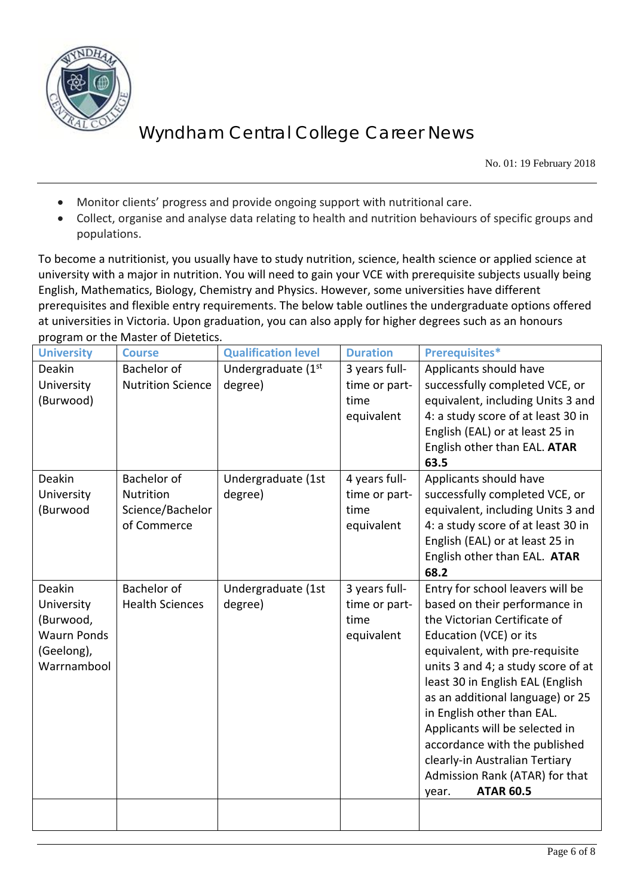

No. 01: 19 February 2018

- Monitor clients' progress and provide ongoing support with nutritional care.
- Collect, organise and analyse data relating to health and nutrition behaviours of specific groups and populations.

To become a nutritionist, you usually have to study nutrition, science, health science or applied science at university with a major in nutrition. You will need to gain your VCE with prerequisite subjects usually being English, Mathematics, Biology, Chemistry and Physics. However, some universities have different prerequisites and flexible entry requirements. The below table outlines the undergraduate options offered at universities in Victoria. Upon graduation, you can also apply for higher degrees such as an honours program or the Master of Dietetics.

| <b>University</b>  | <b>Course</b>            | <b>Qualification level</b> | <b>Duration</b> | Prerequisites*                                     |
|--------------------|--------------------------|----------------------------|-----------------|----------------------------------------------------|
| Deakin             | Bachelor of              | Undergraduate (1st         | 3 years full-   | Applicants should have                             |
| University         | <b>Nutrition Science</b> | degree)                    | time or part-   | successfully completed VCE, or                     |
| (Burwood)          |                          |                            | time            | equivalent, including Units 3 and                  |
|                    |                          |                            | equivalent      | 4: a study score of at least 30 in                 |
|                    |                          |                            |                 | English (EAL) or at least 25 in                    |
|                    |                          |                            |                 | English other than EAL. ATAR                       |
|                    |                          |                            |                 | 63.5                                               |
| Deakin             | <b>Bachelor of</b>       | Undergraduate (1st         | 4 years full-   | Applicants should have                             |
| University         | Nutrition                | degree)                    | time or part-   | successfully completed VCE, or                     |
| (Burwood           | Science/Bachelor         |                            | time            | equivalent, including Units 3 and                  |
|                    | of Commerce              |                            | equivalent      | 4: a study score of at least 30 in                 |
|                    |                          |                            |                 | English (EAL) or at least 25 in                    |
|                    |                          |                            |                 | English other than EAL. ATAR                       |
|                    |                          |                            |                 | 68.2                                               |
| Deakin             | <b>Bachelor of</b>       | Undergraduate (1st         | 3 years full-   | Entry for school leavers will be                   |
| University         | <b>Health Sciences</b>   | degree)                    | time or part-   | based on their performance in                      |
| (Burwood,          |                          |                            | time            | the Victorian Certificate of                       |
| <b>Waurn Ponds</b> |                          |                            | equivalent      | Education (VCE) or its                             |
| (Geelong),         |                          |                            |                 | equivalent, with pre-requisite                     |
| Warrnambool        |                          |                            |                 | units 3 and 4; a study score of at                 |
|                    |                          |                            |                 | least 30 in English EAL (English                   |
|                    |                          |                            |                 | as an additional language) or 25                   |
|                    |                          |                            |                 | in English other than EAL.                         |
|                    |                          |                            |                 | Applicants will be selected in                     |
|                    |                          |                            |                 | accordance with the published                      |
|                    |                          |                            |                 | clearly-in Australian Tertiary                     |
|                    |                          |                            |                 | Admission Rank (ATAR) for that<br><b>ATAR 60.5</b> |
|                    |                          |                            |                 | year.                                              |
|                    |                          |                            |                 |                                                    |
|                    |                          |                            |                 |                                                    |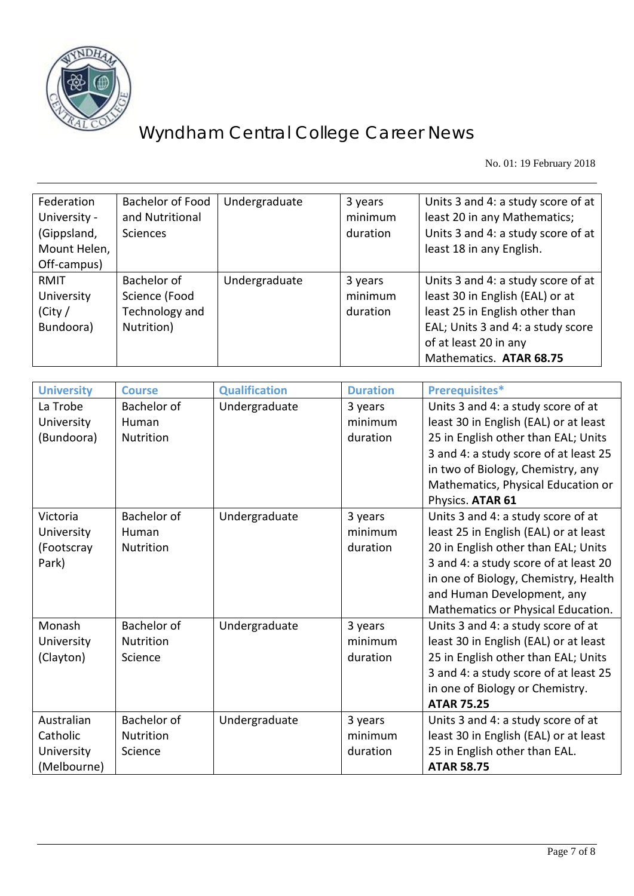

No. 01: 19 February 2018

| Federation<br>University -<br>(Gippsland,<br>Mount Helen,<br>Off-campus) | Bachelor of Food<br>and Nutritional<br><b>Sciences</b>       | Undergraduate | 3 years<br>minimum<br>duration | Units 3 and 4: a study score of at<br>least 20 in any Mathematics;<br>Units 3 and 4: a study score of at<br>least 18 in any English.                                                             |
|--------------------------------------------------------------------------|--------------------------------------------------------------|---------------|--------------------------------|--------------------------------------------------------------------------------------------------------------------------------------------------------------------------------------------------|
| <b>RMIT</b><br>University<br>(City /<br>Bundoora)                        | Bachelor of<br>Science (Food<br>Technology and<br>Nutrition) | Undergraduate | 3 years<br>minimum<br>duration | Units 3 and 4: a study score of at<br>least 30 in English (EAL) or at<br>least 25 in English other than<br>EAL; Units 3 and 4: a study score<br>of at least 20 in any<br>Mathematics. ATAR 68.75 |

| <b>University</b> | <b>Course</b>    | <b>Qualification</b> | <b>Duration</b> | Prerequisites*                        |
|-------------------|------------------|----------------------|-----------------|---------------------------------------|
| La Trobe          | Bachelor of      | Undergraduate        | 3 years         | Units 3 and 4: a study score of at    |
| University        | Human            |                      | minimum         | least 30 in English (EAL) or at least |
| (Bundoora)        | Nutrition        |                      | duration        | 25 in English other than EAL; Units   |
|                   |                  |                      |                 | 3 and 4: a study score of at least 25 |
|                   |                  |                      |                 | in two of Biology, Chemistry, any     |
|                   |                  |                      |                 | Mathematics, Physical Education or    |
|                   |                  |                      |                 | Physics. ATAR 61                      |
| Victoria          | Bachelor of      | Undergraduate        | 3 years         | Units 3 and 4: a study score of at    |
| University        | Human            |                      | minimum         | least 25 in English (EAL) or at least |
| (Footscray        | <b>Nutrition</b> |                      | duration        | 20 in English other than EAL; Units   |
| Park)             |                  |                      |                 | 3 and 4: a study score of at least 20 |
|                   |                  |                      |                 | in one of Biology, Chemistry, Health  |
|                   |                  |                      |                 | and Human Development, any            |
|                   |                  |                      |                 | Mathematics or Physical Education.    |
| Monash            | Bachelor of      | Undergraduate        | 3 years         | Units 3 and 4: a study score of at    |
| University        | Nutrition        |                      | minimum         | least 30 in English (EAL) or at least |
| (Clayton)         | Science          |                      | duration        | 25 in English other than EAL; Units   |
|                   |                  |                      |                 | 3 and 4: a study score of at least 25 |
|                   |                  |                      |                 | in one of Biology or Chemistry.       |
|                   |                  |                      |                 | <b>ATAR 75.25</b>                     |
| Australian        | Bachelor of      | Undergraduate        | 3 years         | Units 3 and 4: a study score of at    |
| Catholic          | Nutrition        |                      | minimum         | least 30 in English (EAL) or at least |
| University        | Science          |                      | duration        | 25 in English other than EAL.         |
| (Melbourne)       |                  |                      |                 | <b>ATAR 58.75</b>                     |